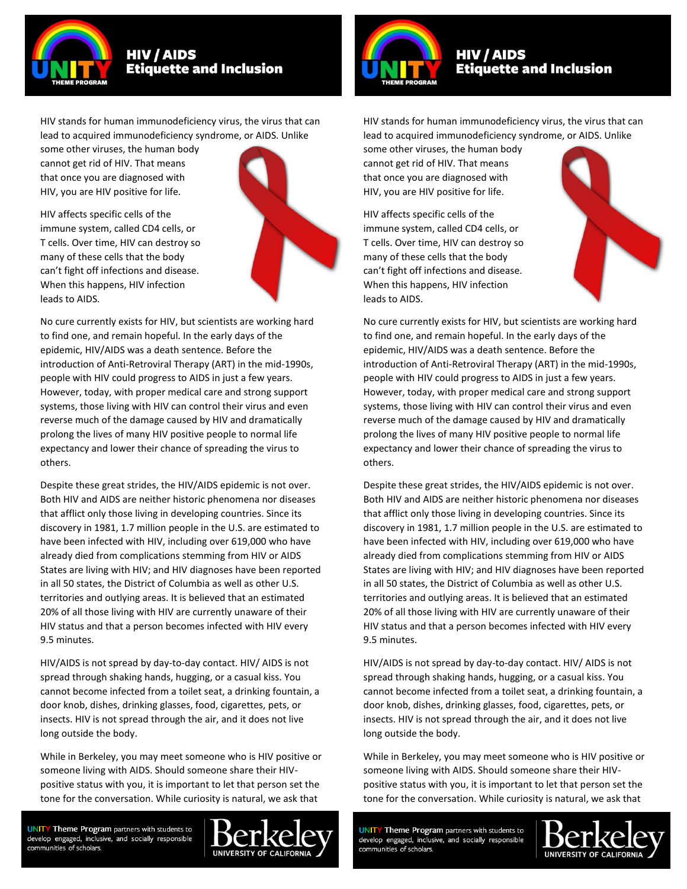

HIV stands for human immunodeficiency virus, the virus that can lead to acquired immunodeficiency syndrome, or AIDS. Unlike

some other viruses, the human body cannot get rid of HIV. That means that once you are diagnosed with HIV, you are HIV positive for life.

HIV affects specific cells of the immune system, called CD4 cells, or T cells. Over time, HIV can destroy so many of these cells that the body can't fight off infections and disease. When this happens, HIV infection leads to AIDS.



No cure currently exists for HIV, but scientists are working hard to find one, and remain hopeful. In the early days of the epidemic, HIV/AIDS was a death sentence. Before the introduction of Anti-Retroviral Therapy (ART) in the mid-1990s, people with HIV could progress to AIDS in just a few years. However, today, with proper medical care and strong support systems, those living with HIV can control their virus and even reverse much of the damage caused by HIV and dramatically prolong the lives of many HIV positive people to normal life expectancy and lower their chance of spreading the virus to others.

Despite these great strides, the HIV/AIDS epidemic is not over. Both HIV and AIDS are neither historic phenomena nor diseases that afflict only those living in developing countries. Since its discovery in 1981, 1.7 million people in the U.S. are estimated to have been infected with HIV, including over 619,000 who have already died from complications stemming from HIV or AIDS States are living with HIV; and HIV diagnoses have been reported in all 50 states, the District of Columbia as well as other U.S. territories and outlying areas. It is believed that an estimated 20% of all those living with HIV are currently unaware of their HIV status and that a person becomes infected with HIV every 9.5 minutes.

HIV/AIDS is not spread by day-to-day contact. HIV/ AIDS is not spread through shaking hands, hugging, or a casual kiss. You cannot become infected from a toilet seat, a drinking fountain, a door knob, dishes, drinking glasses, food, cigarettes, pets, or insects. HIV is not spread through the air, and it does not live long outside the body.

While in Berkeley, you may meet someone who is HIV positive or someone living with AIDS. Should someone share their HIVpositive status with you, it is important to let that person set the tone for the conversation. While curiosity is natural, we ask that

**UNITY Theme Program** partners with students to develop engaged, inclusive, and socially responsible communities of scholars.





HIV stands for human immunodeficiency virus, the virus that can lead to acquired immunodeficiency syndrome, or AIDS. Unlike

some other viruses, the human body cannot get rid of HIV. That means that once you are diagnosed with HIV, you are HIV positive for life.

HIV affects specific cells of the immune system, called CD4 cells, or T cells. Over time, HIV can destroy so many of these cells that the body can't fight off infections and disease. When this happens, HIV infection leads to AIDS.



No cure currently exists for HIV, but scientists are working hard to find one, and remain hopeful. In the early days of the epidemic, HIV/AIDS was a death sentence. Before the introduction of Anti-Retroviral Therapy (ART) in the mid-1990s, people with HIV could progress to AIDS in just a few years. However, today, with proper medical care and strong support systems, those living with HIV can control their virus and even reverse much of the damage caused by HIV and dramatically prolong the lives of many HIV positive people to normal life expectancy and lower their chance of spreading the virus to others.

Despite these great strides, the HIV/AIDS epidemic is not over. Both HIV and AIDS are neither historic phenomena nor diseases that afflict only those living in developing countries. Since its discovery in 1981, 1.7 million people in the U.S. are estimated to have been infected with HIV, including over 619,000 who have already died from complications stemming from HIV or AIDS States are living with HIV; and HIV diagnoses have been reported in all 50 states, the District of Columbia as well as other U.S. territories and outlying areas. It is believed that an estimated 20% of all those living with HIV are currently unaware of their HIV status and that a person becomes infected with HIV every 9.5 minutes.

HIV/AIDS is not spread by day-to-day contact. HIV/ AIDS is not spread through shaking hands, hugging, or a casual kiss. You cannot become infected from a toilet seat, a drinking fountain, a door knob, dishes, drinking glasses, food, cigarettes, pets, or insects. HIV is not spread through the air, and it does not live long outside the body.

While in Berkeley, you may meet someone who is HIV positive or someone living with AIDS. Should someone share their HIVpositive status with you, it is important to let that person set the tone for the conversation. While curiosity is natural, we ask that

**UNITY Theme Program** partners with students to develop engaged, inclusive, and socially responsible communities of scholars.